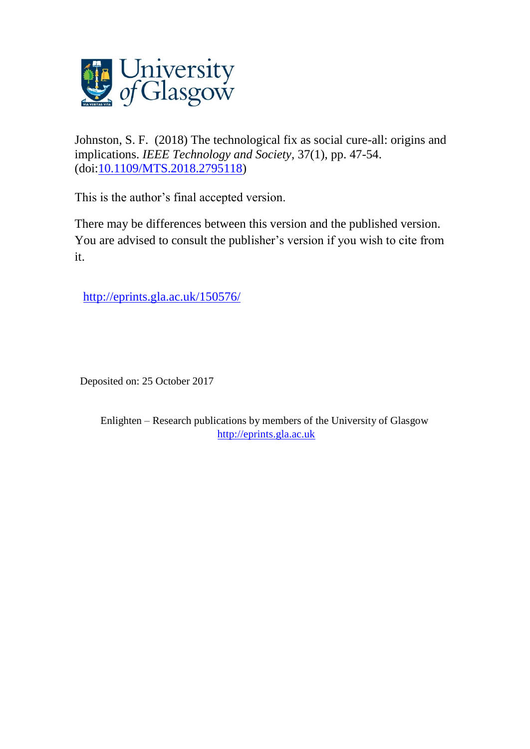

Johnston, S. F. (2018) The technological fix as social cure-all: origins and implications. *IEEE Technology and Society*, 37(1), pp. 47-54. (doi[:10.1109/MTS.2018.2795118\)](http://dx.doi.org/10.1109/MTS.2018.2795118)

This is the author's final accepted version.

There may be differences between this version and the published version. You are advised to consult the publisher's version if you wish to cite from it.

<http://eprints.gla.ac.uk/150576/>

Deposited on: 25 October 2017

Enlighten – Research publications by members of the University of Glasgow [http://eprints.gla.ac.uk](http://eprints.gla.ac.uk/)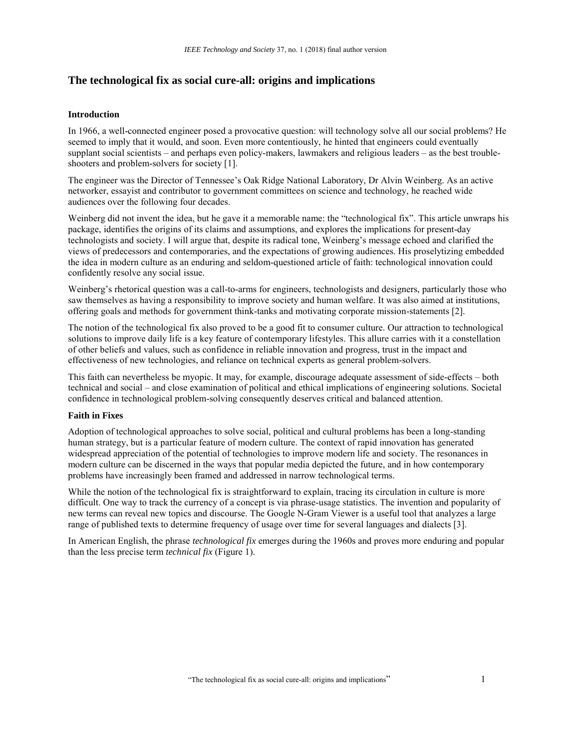# **The technological fix as social cure-all: origins and implications**

### **Introduction**

In 1966, a well-connected engineer posed a provocative question: will technology solve all our social problems? He seemed to imply that it would, and soon. Even more contentiously, he hinted that engineers could eventually supplant social scientists – and perhaps even policy-makers, lawmakers and religious leaders – as the best troubleshooters and problem-solvers for society [1].

The engineer was the Director of Tennessee's Oak Ridge National Laboratory, Dr Alvin Weinberg. As an active networker, essayist and contributor to government committees on science and technology, he reached wide audiences over the following four decades.

Weinberg did not invent the idea, but he gave it a memorable name: the "technological fix". This article unwraps his package, identifies the origins of its claims and assumptions, and explores the implications for present-day technologists and society. I will argue that, despite its radical tone, Weinberg's message echoed and clarified the views of predecessors and contemporaries, and the expectations of growing audiences. His proselytizing embedded the idea in modern culture as an enduring and seldom-questioned article of faith: technological innovation could confidently resolve any social issue.

Weinberg's rhetorical question was a call-to-arms for engineers, technologists and designers, particularly those who saw themselves as having a responsibility to improve society and human welfare. It was also aimed at institutions, offering goals and methods for government think-tanks and motivating corporate mission-statements [2].

The notion of the technological fix also proved to be a good fit to consumer culture. Our attraction to technological solutions to improve daily life is a key feature of contemporary lifestyles. This allure carries with it a constellation of other beliefs and values, such as confidence in reliable innovation and progress, trust in the impact and effectiveness of new technologies, and reliance on technical experts as general problem-solvers.

This faith can nevertheless be myopic. It may, for example, discourage adequate assessment of side-effects – both technical and social – and close examination of political and ethical implications of engineering solutions. Societal confidence in technological problem-solving consequently deserves critical and balanced attention.

#### **Faith in Fixes**

Adoption of technological approaches to solve social, political and cultural problems has been a long-standing human strategy, but is a particular feature of modern culture. The context of rapid innovation has generated widespread appreciation of the potential of technologies to improve modern life and society. The resonances in modern culture can be discerned in the ways that popular media depicted the future, and in how contemporary problems have increasingly been framed and addressed in narrow technological terms.

While the notion of the technological fix is straightforward to explain, tracing its circulation in culture is more difficult. One way to track the currency of a concept is via phrase-usage statistics. The invention and popularity of new terms can reveal new topics and discourse. The Google N-Gram Viewer is a useful tool that analyzes a large range of published texts to determine frequency of usage over time for several languages and dialects [3].

In American English, the phrase *technological fix* emerges during the 1960s and proves more enduring and popular than the less precise term *technical fix* (Figure 1).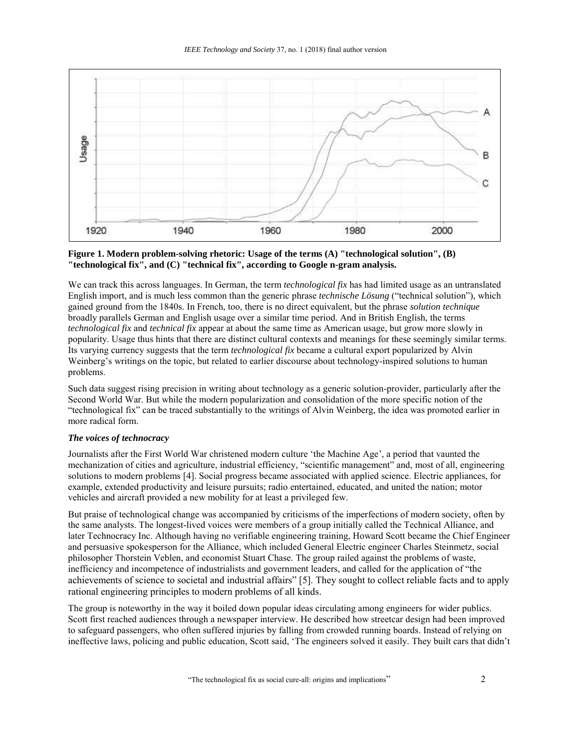

## **Figure 1. Modern problem-solving rhetoric: Usage of the terms (A) "technological solution", (B) "technological fix", and (C) "technical fix", according to Google n-gram analysis.**

We can track this across languages. In German, the term *technological fix* has had limited usage as an untranslated English import, and is much less common than the generic phrase *technische Lösung* ("technical solution"), which gained ground from the 1840s. In French, too, there is no direct equivalent, but the phrase *solution technique* broadly parallels German and English usage over a similar time period. And in British English, the terms *technological fix* and *technical fix* appear at about the same time as American usage, but grow more slowly in popularity. Usage thus hints that there are distinct cultural contexts and meanings for these seemingly similar terms. Its varying currency suggests that the term *technological fix* became a cultural export popularized by Alvin Weinberg's writings on the topic, but related to earlier discourse about technology-inspired solutions to human problems.

Such data suggest rising precision in writing about technology as a generic solution-provider, particularly after the Second World War. But while the modern popularization and consolidation of the more specific notion of the "technological fix" can be traced substantially to the writings of Alvin Weinberg, the idea was promoted earlier in more radical form.

### *The voices of technocracy*

Journalists after the First World War christened modern culture 'the Machine Age', a period that vaunted the mechanization of cities and agriculture, industrial efficiency, "scientific management" and, most of all, engineering solutions to modern problems [4]. Social progress became associated with applied science. Electric appliances, for example, extended productivity and leisure pursuits; radio entertained, educated, and united the nation; motor vehicles and aircraft provided a new mobility for at least a privileged few.

But praise of technological change was accompanied by criticisms of the imperfections of modern society, often by the same analysts. The longest-lived voices were members of a group initially called the Technical Alliance, and later Technocracy Inc. Although having no verifiable engineering training, Howard Scott became the Chief Engineer and persuasive spokesperson for the Alliance, which included General Electric engineer Charles Steinmetz, social philosopher Thorstein Veblen, and economist Stuart Chase. The group railed against the problems of waste, inefficiency and incompetence of industrialists and government leaders, and called for the application of "the achievements of science to societal and industrial affairs" [5]. They sought to collect reliable facts and to apply rational engineering principles to modern problems of all kinds.

The group is noteworthy in the way it boiled down popular ideas circulating among engineers for wider publics. Scott first reached audiences through a newspaper interview. He described how streetcar design had been improved to safeguard passengers, who often suffered injuries by falling from crowded running boards. Instead of relying on ineffective laws, policing and public education, Scott said, 'The engineers solved it easily. They built cars that didn't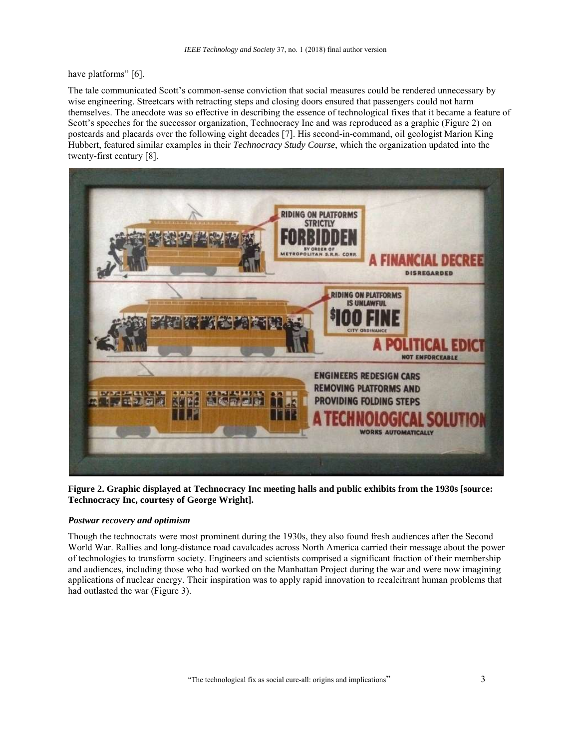have platforms" [6].

The tale communicated Scott's common-sense conviction that social measures could be rendered unnecessary by wise engineering. Streetcars with retracting steps and closing doors ensured that passengers could not harm themselves. The anecdote was so effective in describing the essence of technological fixes that it became a feature of Scott's speeches for the successor organization, Technocracy Inc and was reproduced as a graphic (Figure 2) on postcards and placards over the following eight decades [7]. His second-in-command, oil geologist Marion King Hubbert, featured similar examples in their *Technocracy Study Course*, which the organization updated into the twenty-first century [8].



**Figure 2. Graphic displayed at Technocracy Inc meeting halls and public exhibits from the 1930s [source: Technocracy Inc, courtesy of George Wright].** 

#### *Postwar recovery and optimism*

Though the technocrats were most prominent during the 1930s, they also found fresh audiences after the Second World War. Rallies and long-distance road cavalcades across North America carried their message about the power of technologies to transform society. Engineers and scientists comprised a significant fraction of their membership and audiences, including those who had worked on the Manhattan Project during the war and were now imagining applications of nuclear energy. Their inspiration was to apply rapid innovation to recalcitrant human problems that had outlasted the war (Figure 3).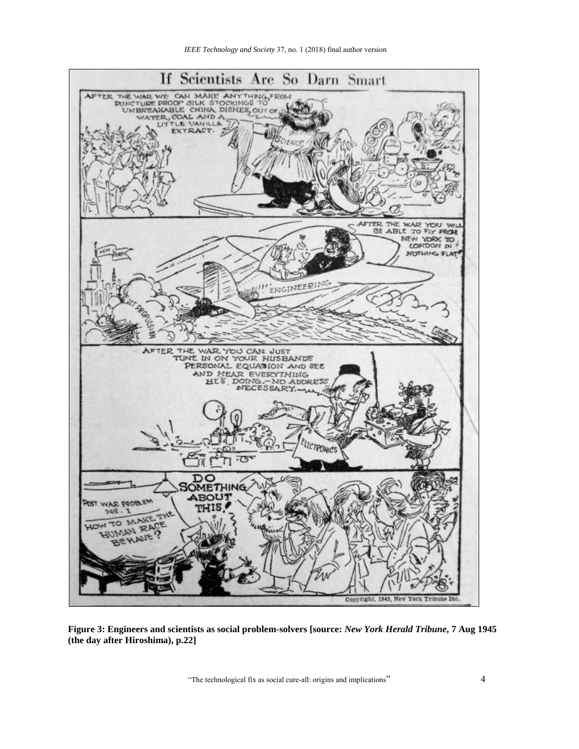

**Figure 3: Engineers and scientists as social problem-solvers [source:** *New York Herald Tribune***, 7 Aug 1945 (the day after Hiroshima), p.22]**

"The technological fix as social cure-all: origins and implications" 4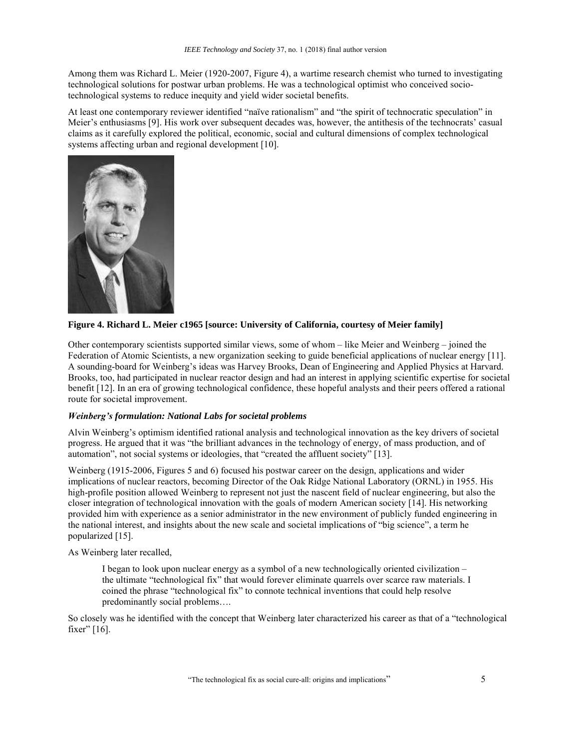Among them was Richard L. Meier (1920-2007, Figure 4), a wartime research chemist who turned to investigating technological solutions for postwar urban problems. He was a technological optimist who conceived sociotechnological systems to reduce inequity and yield wider societal benefits.

At least one contemporary reviewer identified "naïve rationalism" and "the spirit of technocratic speculation" in Meier's enthusiasms [9]. His work over subsequent decades was, however, the antithesis of the technocrats' casual claims as it carefully explored the political, economic, social and cultural dimensions of complex technological systems affecting urban and regional development [10].



# **Figure 4. Richard L. Meier c1965 [source: University of California, courtesy of Meier family]**

Other contemporary scientists supported similar views, some of whom – like Meier and Weinberg – joined the Federation of Atomic Scientists, a new organization seeking to guide beneficial applications of nuclear energy [11]. A sounding-board for Weinberg's ideas was Harvey Brooks, Dean of Engineering and Applied Physics at Harvard. Brooks, too, had participated in nuclear reactor design and had an interest in applying scientific expertise for societal benefit [12]. In an era of growing technological confidence, these hopeful analysts and their peers offered a rational route for societal improvement.

### *Weinberg's formulation: National Labs for societal problems*

Alvin Weinberg's optimism identified rational analysis and technological innovation as the key drivers of societal progress. He argued that it was "the brilliant advances in the technology of energy, of mass production, and of automation", not social systems or ideologies, that "created the affluent society" [13].

Weinberg (1915-2006, Figures 5 and 6) focused his postwar career on the design, applications and wider implications of nuclear reactors, becoming Director of the Oak Ridge National Laboratory (ORNL) in 1955. His high-profile position allowed Weinberg to represent not just the nascent field of nuclear engineering, but also the closer integration of technological innovation with the goals of modern American society [14]. His networking provided him with experience as a senior administrator in the new environment of publicly funded engineering in the national interest, and insights about the new scale and societal implications of "big science", a term he popularized [15].

As Weinberg later recalled,

I began to look upon nuclear energy as a symbol of a new technologically oriented civilization – the ultimate "technological fix" that would forever eliminate quarrels over scarce raw materials. I coined the phrase "technological fix" to connote technical inventions that could help resolve predominantly social problems….

So closely was he identified with the concept that Weinberg later characterized his career as that of a "technological fixer" [16].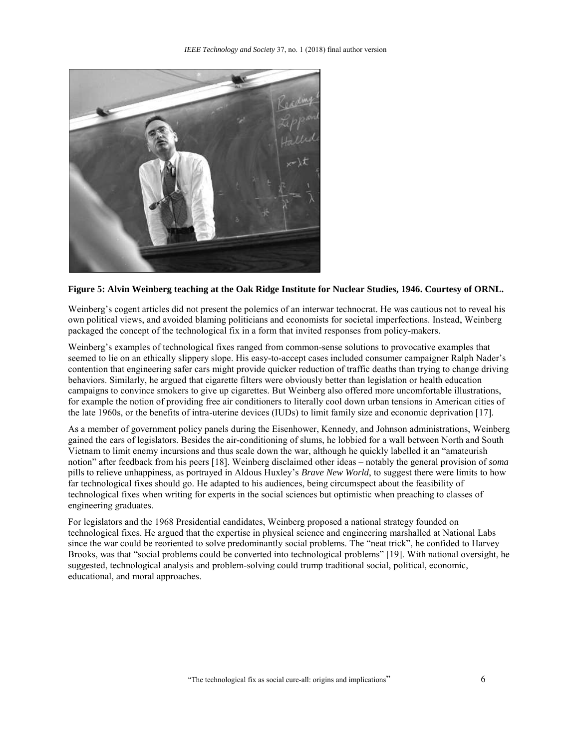

#### **Figure 5: Alvin Weinberg teaching at the Oak Ridge Institute for Nuclear Studies, 1946. Courtesy of ORNL.**

Weinberg's cogent articles did not present the polemics of an interwar technocrat. He was cautious not to reveal his own political views, and avoided blaming politicians and economists for societal imperfections. Instead, Weinberg packaged the concept of the technological fix in a form that invited responses from policy-makers.

Weinberg's examples of technological fixes ranged from common-sense solutions to provocative examples that seemed to lie on an ethically slippery slope. His easy-to-accept cases included consumer campaigner Ralph Nader's contention that engineering safer cars might provide quicker reduction of traffic deaths than trying to change driving behaviors. Similarly, he argued that cigarette filters were obviously better than legislation or health education campaigns to convince smokers to give up cigarettes. But Weinberg also offered more uncomfortable illustrations, for example the notion of providing free air conditioners to literally cool down urban tensions in American cities of the late 1960s, or the benefits of intra-uterine devices (IUDs) to limit family size and economic deprivation [17].

As a member of government policy panels during the Eisenhower, Kennedy, and Johnson administrations, Weinberg gained the ears of legislators. Besides the air-conditioning of slums, he lobbied for a wall between North and South Vietnam to limit enemy incursions and thus scale down the war, although he quickly labelled it an "amateurish notion" after feedback from his peers [18]. Weinberg disclaimed other ideas – notably the general provision of *soma*  pills to relieve unhappiness, as portrayed in Aldous Huxley's *Brave New World*, to suggest there were limits to how far technological fixes should go. He adapted to his audiences, being circumspect about the feasibility of technological fixes when writing for experts in the social sciences but optimistic when preaching to classes of engineering graduates.

For legislators and the 1968 Presidential candidates, Weinberg proposed a national strategy founded on technological fixes. He argued that the expertise in physical science and engineering marshalled at National Labs since the war could be reoriented to solve predominantly social problems. The "neat trick", he confided to Harvey Brooks, was that "social problems could be converted into technological problems" [19]. With national oversight, he suggested, technological analysis and problem-solving could trump traditional social, political, economic, educational, and moral approaches.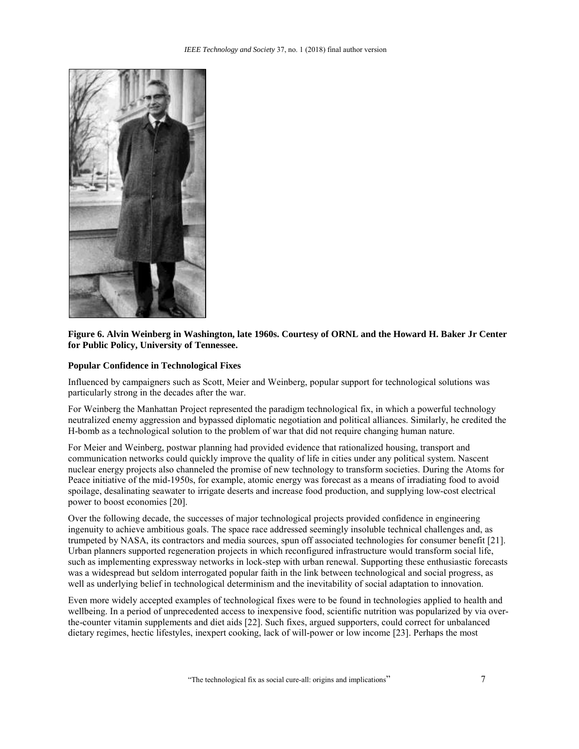

### **Figure 6. Alvin Weinberg in Washington, late 1960s. Courtesy of ORNL and the Howard H. Baker Jr Center for Public Policy, University of Tennessee.**

#### **Popular Confidence in Technological Fixes**

Influenced by campaigners such as Scott, Meier and Weinberg, popular support for technological solutions was particularly strong in the decades after the war.

For Weinberg the Manhattan Project represented the paradigm technological fix, in which a powerful technology neutralized enemy aggression and bypassed diplomatic negotiation and political alliances. Similarly, he credited the H-bomb as a technological solution to the problem of war that did not require changing human nature.

For Meier and Weinberg, postwar planning had provided evidence that rationalized housing, transport and communication networks could quickly improve the quality of life in cities under any political system. Nascent nuclear energy projects also channeled the promise of new technology to transform societies. During the Atoms for Peace initiative of the mid-1950s, for example, atomic energy was forecast as a means of irradiating food to avoid spoilage, desalinating seawater to irrigate deserts and increase food production, and supplying low-cost electrical power to boost economies [20].

Over the following decade, the successes of major technological projects provided confidence in engineering ingenuity to achieve ambitious goals. The space race addressed seemingly insoluble technical challenges and, as trumpeted by NASA, its contractors and media sources, spun off associated technologies for consumer benefit [21]. Urban planners supported regeneration projects in which reconfigured infrastructure would transform social life, such as implementing expressway networks in lock-step with urban renewal. Supporting these enthusiastic forecasts was a widespread but seldom interrogated popular faith in the link between technological and social progress, as well as underlying belief in technological determinism and the inevitability of social adaptation to innovation.

Even more widely accepted examples of technological fixes were to be found in technologies applied to health and wellbeing. In a period of unprecedented access to inexpensive food, scientific nutrition was popularized by via overthe-counter vitamin supplements and diet aids [22]. Such fixes, argued supporters, could correct for unbalanced dietary regimes, hectic lifestyles, inexpert cooking, lack of will-power or low income [23]. Perhaps the most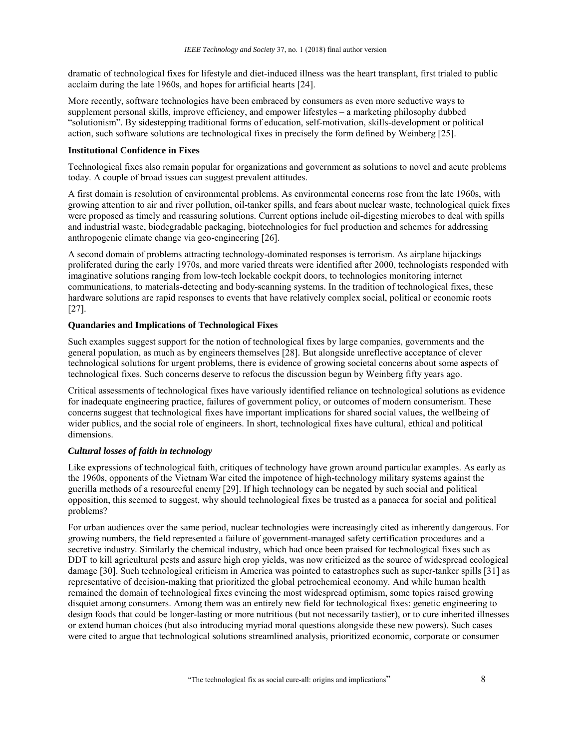dramatic of technological fixes for lifestyle and diet-induced illness was the heart transplant, first trialed to public acclaim during the late 1960s, and hopes for artificial hearts [24].

More recently, software technologies have been embraced by consumers as even more seductive ways to supplement personal skills, improve efficiency, and empower lifestyles – a marketing philosophy dubbed "solutionism". By sidestepping traditional forms of education, self-motivation, skills-development or political action, such software solutions are technological fixes in precisely the form defined by Weinberg [25].

### **Institutional Confidence in Fixes**

Technological fixes also remain popular for organizations and government as solutions to novel and acute problems today. A couple of broad issues can suggest prevalent attitudes.

A first domain is resolution of environmental problems. As environmental concerns rose from the late 1960s, with growing attention to air and river pollution, oil-tanker spills, and fears about nuclear waste, technological quick fixes were proposed as timely and reassuring solutions. Current options include oil-digesting microbes to deal with spills and industrial waste, biodegradable packaging, biotechnologies for fuel production and schemes for addressing anthropogenic climate change via geo-engineering [26].

A second domain of problems attracting technology-dominated responses is terrorism. As airplane hijackings proliferated during the early 1970s, and more varied threats were identified after 2000, technologists responded with imaginative solutions ranging from low-tech lockable cockpit doors, to technologies monitoring internet communications, to materials-detecting and body-scanning systems. In the tradition of technological fixes, these hardware solutions are rapid responses to events that have relatively complex social, political or economic roots [27].

### **Quandaries and Implications of Technological Fixes**

Such examples suggest support for the notion of technological fixes by large companies, governments and the general population, as much as by engineers themselves [28]. But alongside unreflective acceptance of clever technological solutions for urgent problems, there is evidence of growing societal concerns about some aspects of technological fixes. Such concerns deserve to refocus the discussion begun by Weinberg fifty years ago.

Critical assessments of technological fixes have variously identified reliance on technological solutions as evidence for inadequate engineering practice, failures of government policy, or outcomes of modern consumerism. These concerns suggest that technological fixes have important implications for shared social values, the wellbeing of wider publics, and the social role of engineers. In short, technological fixes have cultural, ethical and political dimensions.

### *Cultural losses of faith in technology*

Like expressions of technological faith, critiques of technology have grown around particular examples. As early as the 1960s, opponents of the Vietnam War cited the impotence of high-technology military systems against the guerilla methods of a resourceful enemy [29]. If high technology can be negated by such social and political opposition, this seemed to suggest, why should technological fixes be trusted as a panacea for social and political problems?

For urban audiences over the same period, nuclear technologies were increasingly cited as inherently dangerous. For growing numbers, the field represented a failure of government-managed safety certification procedures and a secretive industry. Similarly the chemical industry, which had once been praised for technological fixes such as DDT to kill agricultural pests and assure high crop yields, was now criticized as the source of widespread ecological damage [30]. Such technological criticism in America was pointed to catastrophes such as super-tanker spills [31] as representative of decision-making that prioritized the global petrochemical economy. And while human health remained the domain of technological fixes evincing the most widespread optimism, some topics raised growing disquiet among consumers. Among them was an entirely new field for technological fixes: genetic engineering to design foods that could be longer-lasting or more nutritious (but not necessarily tastier), or to cure inherited illnesses or extend human choices (but also introducing myriad moral questions alongside these new powers). Such cases were cited to argue that technological solutions streamlined analysis, prioritized economic, corporate or consumer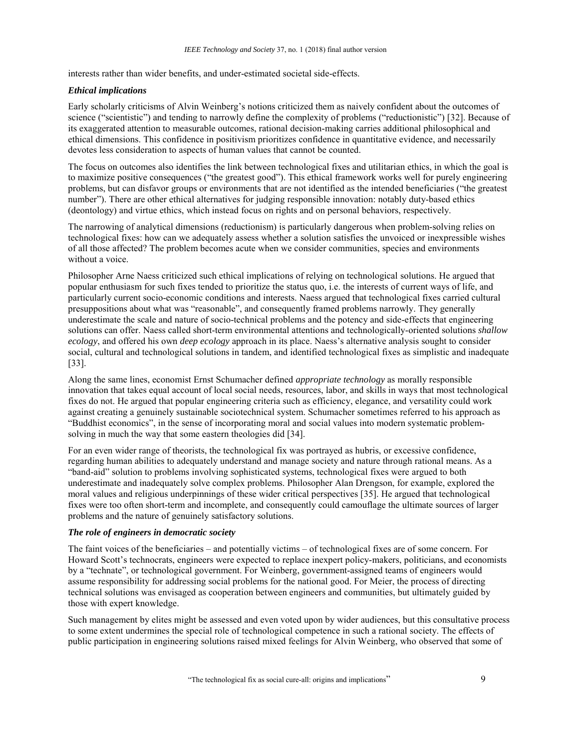interests rather than wider benefits, and under-estimated societal side-effects.

### *Ethical implications*

Early scholarly criticisms of Alvin Weinberg's notions criticized them as naively confident about the outcomes of science ("scientistic") and tending to narrowly define the complexity of problems ("reductionistic") [32]. Because of its exaggerated attention to measurable outcomes, rational decision-making carries additional philosophical and ethical dimensions. This confidence in positivism prioritizes confidence in quantitative evidence, and necessarily devotes less consideration to aspects of human values that cannot be counted.

The focus on outcomes also identifies the link between technological fixes and utilitarian ethics, in which the goal is to maximize positive consequences ("the greatest good"). This ethical framework works well for purely engineering problems, but can disfavor groups or environments that are not identified as the intended beneficiaries ("the greatest number"). There are other ethical alternatives for judging responsible innovation: notably duty-based ethics (deontology) and virtue ethics, which instead focus on rights and on personal behaviors, respectively.

The narrowing of analytical dimensions (reductionism) is particularly dangerous when problem-solving relies on technological fixes: how can we adequately assess whether a solution satisfies the unvoiced or inexpressible wishes of all those affected? The problem becomes acute when we consider communities, species and environments without a voice.

Philosopher Arne Naess criticized such ethical implications of relying on technological solutions. He argued that popular enthusiasm for such fixes tended to prioritize the status quo, i.e. the interests of current ways of life, and particularly current socio-economic conditions and interests. Naess argued that technological fixes carried cultural presuppositions about what was "reasonable", and consequently framed problems narrowly. They generally underestimate the scale and nature of socio-technical problems and the potency and side-effects that engineering solutions can offer. Naess called short-term environmental attentions and technologically-oriented solutions *shallow ecology*, and offered his own *deep ecology* approach in its place. Naess's alternative analysis sought to consider social, cultural and technological solutions in tandem, and identified technological fixes as simplistic and inadequate [33].

Along the same lines, economist Ernst Schumacher defined *appropriate technology* as morally responsible innovation that takes equal account of local social needs, resources, labor, and skills in ways that most technological fixes do not. He argued that popular engineering criteria such as efficiency, elegance, and versatility could work against creating a genuinely sustainable sociotechnical system. Schumacher sometimes referred to his approach as "Buddhist economics", in the sense of incorporating moral and social values into modern systematic problemsolving in much the way that some eastern theologies did [34].

For an even wider range of theorists, the technological fix was portrayed as hubris, or excessive confidence, regarding human abilities to adequately understand and manage society and nature through rational means. As a "band-aid" solution to problems involving sophisticated systems, technological fixes were argued to both underestimate and inadequately solve complex problems. Philosopher Alan Drengson, for example, explored the moral values and religious underpinnings of these wider critical perspectives [35]. He argued that technological fixes were too often short-term and incomplete, and consequently could camouflage the ultimate sources of larger problems and the nature of genuinely satisfactory solutions.

#### *The role of engineers in democratic society*

The faint voices of the beneficiaries – and potentially victims – of technological fixes are of some concern. For Howard Scott's technocrats, engineers were expected to replace inexpert policy-makers, politicians, and economists by a "technate", or technological government. For Weinberg, government-assigned teams of engineers would assume responsibility for addressing social problems for the national good. For Meier, the process of directing technical solutions was envisaged as cooperation between engineers and communities, but ultimately guided by those with expert knowledge.

Such management by elites might be assessed and even voted upon by wider audiences, but this consultative process to some extent undermines the special role of technological competence in such a rational society. The effects of public participation in engineering solutions raised mixed feelings for Alvin Weinberg, who observed that some of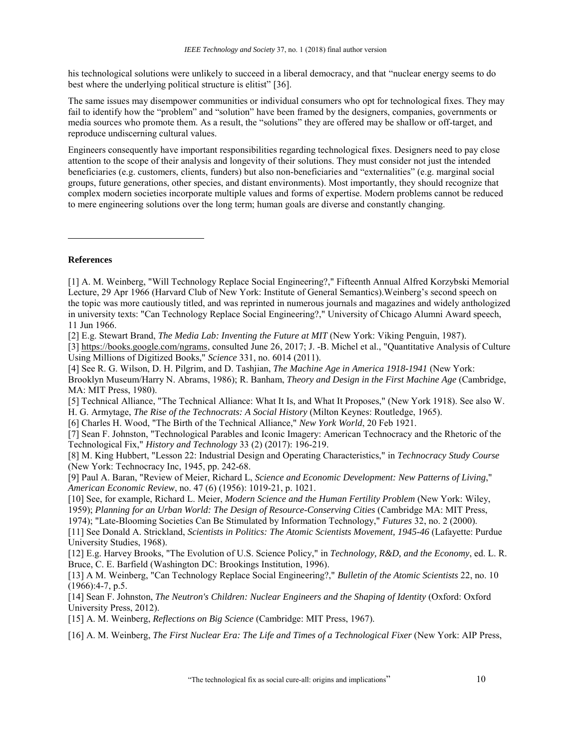his technological solutions were unlikely to succeed in a liberal democracy, and that "nuclear energy seems to do best where the underlying political structure is elitist" [36].

The same issues may disempower communities or individual consumers who opt for technological fixes. They may fail to identify how the "problem" and "solution" have been framed by the designers, companies, governments or media sources who promote them. As a result, the "solutions" they are offered may be shallow or off-target, and reproduce undiscerning cultural values.

Engineers consequently have important responsibilities regarding technological fixes. Designers need to pay close attention to the scope of their analysis and longevity of their solutions. They must consider not just the intended beneficiaries (e.g. customers, clients, funders) but also non-beneficiaries and "externalities" (e.g. marginal social groups, future generations, other species, and distant environments). Most importantly, they should recognize that complex modern societies incorporate multiple values and forms of expertise. Modern problems cannot be reduced to mere engineering solutions over the long term; human goals are diverse and constantly changing.

#### **References**

 $\overline{a}$ 

[1] A. M. Weinberg, "Will Technology Replace Social Engineering?," Fifteenth Annual Alfred Korzybski Memorial Lecture, 29 Apr 1966 (Harvard Club of New York: Institute of General Semantics).Weinberg's second speech on the topic was more cautiously titled, and was reprinted in numerous journals and magazines and widely anthologized in university texts: "Can Technology Replace Social Engineering?," University of Chicago Alumni Award speech, 11 Jun 1966.

[2] E.g. Stewart Brand, *The Media Lab: Inventing the Future at MIT* (New York: Viking Penguin, 1987).

[3] [https://books.google.com/ngrams,](https://books.google.com/ngrams) consulted June 26, 2017; J. -B. Michel et al., "Quantitative Analysis of Culture Using Millions of Digitized Books," *Science* 331, no. 6014 (2011).

[4] See R. G. Wilson, D. H. Pilgrim, and D. Tashjian, *The Machine Age in America 1918-1941* (New York: Brooklyn Museum/Harry N. Abrams, 1986); R. Banham, *Theory and Design in the First Machine Age* (Cambridge, MA: MIT Press, 1980).

[5] Technical Alliance, "The Technical Alliance: What It Is, and What It Proposes," (New York 1918). See also W. H. G. Armytage, *The Rise of the Technocrats: A Social History* (Milton Keynes: Routledge, 1965).

[6] Charles H. Wood, "The Birth of the Technical Alliance," *New York World*, 20 Feb 1921.

[7] Sean F. Johnston, "Technological Parables and Iconic Imagery: American Technocracy and the Rhetoric of the Technological Fix," *History and Technology* 33 (2) (2017): 196-219.

[8] M. King Hubbert, "Lesson 22: Industrial Design and Operating Characteristics," in *Technocracy Study Course*  (New York: Technocracy Inc, 1945, pp. 242-68.

[9] Paul A. Baran, "Review of Meier, Richard L, *Science and Economic Development: New Patterns of Living*," *American Economic Review*, no. 47 (6) (1956): 1019-21, p. 1021.

[10] See, for example, Richard L. Meier, *Modern Science and the Human Fertility Problem* (New York: Wiley, 1959); *Planning for an Urban World: The Design of Resource-Conserving Cities* (Cambridge MA: MIT Press,

1974); "Late-Blooming Societies Can Be Stimulated by Information Technology," *Futures* 32, no. 2 (2000).

[11] See Donald A. Strickland, *Scientists in Politics: The Atomic Scientists Movement, 1945-46* (Lafayette: Purdue University Studies, 1968).

[12] E.g. Harvey Brooks, "The Evolution of U.S. Science Policy," in *Technology, R&D, and the Economy*, ed. L. R. Bruce, C. E. Barfield (Washington DC: Brookings Institution, 1996).

[13] A M. Weinberg, "Can Technology Replace Social Engineering?," *Bulletin of the Atomic Scientists* 22, no. 10  $(1966):4-7, p.5.$ 

[14] Sean F. Johnston, *The Neutron's Children: Nuclear Engineers and the Shaping of Identity* (Oxford: Oxford University Press, 2012).

[15] A. M. Weinberg, *Reflections on Big Science* (Cambridge: MIT Press, 1967).

[16] A. M. Weinberg, *The First Nuclear Era: The Life and Times of a Technological Fixer* (New York: AIP Press,

"The technological fix as social cure-all: origins and implications" 10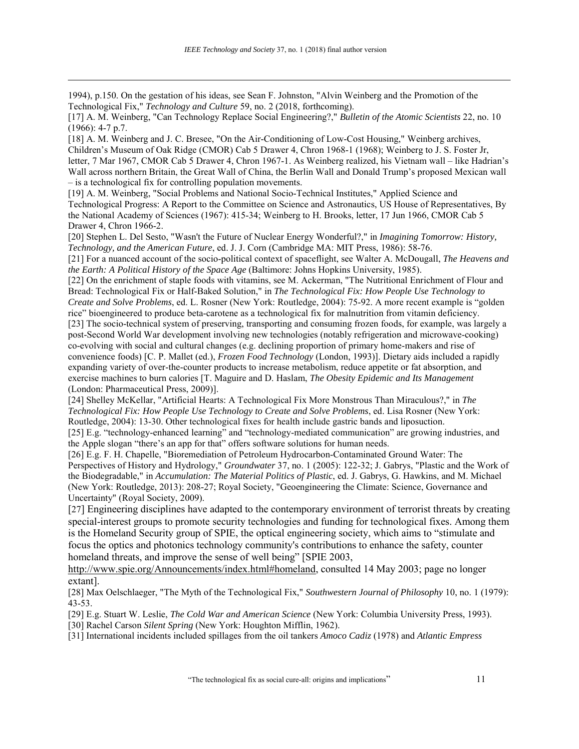1994), p.150. On the gestation of his ideas, see Sean F. Johnston, "Alvin Weinberg and the Promotion of the Technological Fix," *Technology and Culture* 59, no. 2 (2018, forthcoming).

 $\overline{a}$ 

[17] A. M. Weinberg, "Can Technology Replace Social Engineering?," *Bulletin of the Atomic Scientists* 22, no. 10 (1966): 4-7 p.7.

[18] A. M. Weinberg and J. C. Bresee, "On the Air-Conditioning of Low-Cost Housing," Weinberg archives, Children's Museum of Oak Ridge (CMOR) Cab 5 Drawer 4, Chron 1968-1 (1968); Weinberg to J. S. Foster Jr, letter, 7 Mar 1967, CMOR Cab 5 Drawer 4, Chron 1967-1. As Weinberg realized, his Vietnam wall – like Hadrian's Wall across northern Britain, the Great Wall of China, the Berlin Wall and Donald Trump's proposed Mexican wall – is a technological fix for controlling population movements.

[19] A. M. Weinberg, "Social Problems and National Socio-Technical Institutes," Applied Science and Technological Progress: A Report to the Committee on Science and Astronautics, US House of Representatives, By the National Academy of Sciences (1967): 415-34; Weinberg to H. Brooks, letter, 17 Jun 1966, CMOR Cab 5 Drawer 4, Chron 1966-2.

[20] Stephen L. Del Sesto, "Wasn't the Future of Nuclear Energy Wonderful?," in *Imagining Tomorrow: History, Technology, and the American Future*, ed. J. J. Corn (Cambridge MA: MIT Press, 1986): 58-76.

[21] For a nuanced account of the socio-political context of spaceflight, see Walter A. McDougall, *The Heavens and the Earth: A Political History of the Space Age* (Baltimore: Johns Hopkins University, 1985).

[22] On the enrichment of staple foods with vitamins, see M. Ackerman, "The Nutritional Enrichment of Flour and Bread: Technological Fix or Half-Baked Solution," in *The Technological Fix: How People Use Technology to Create and Solve Problems*, ed. L. Rosner (New York: Routledge, 2004): 75-92. A more recent example is "golden

rice" bioengineered to produce beta-carotene as a technological fix for malnutrition from vitamin deficiency. [23] The socio-technical system of preserving, transporting and consuming frozen foods, for example, was largely a post-Second World War development involving new technologies (notably refrigeration and microwave-cooking) co-evolving with social and cultural changes (e.g. declining proportion of primary home-makers and rise of convenience foods) [C. P. Mallet (ed.), *Frozen Food Technology* (London, 1993)]. Dietary aids included a rapidly expanding variety of over-the-counter products to increase metabolism, reduce appetite or fat absorption, and exercise machines to burn calories [T. Maguire and D. Haslam, *The Obesity Epidemic and Its Management* (London: Pharmaceutical Press, 2009)].

[24] Shelley McKellar, "Artificial Hearts: A Technological Fix More Monstrous Than Miraculous?," in *The Technological Fix: How People Use Technology to Create and Solve Problems*, ed. Lisa Rosner (New York: Routledge, 2004): 13-30. Other technological fixes for health include gastric bands and liposuction.

[25] E.g. "technology-enhanced learning" and "technology-mediated communication" are growing industries, and the Apple slogan "there's an app for that" offers software solutions for human needs.

[26] E.g. F. H. Chapelle, "Bioremediation of Petroleum Hydrocarbon-Contaminated Ground Water: The Perspectives of History and Hydrology," *Groundwater* 37, no. 1 (2005): 122-32; J. Gabrys, "Plastic and the Work of the Biodegradable," in *Accumulation: The Material Politics of Plastic*, ed. J. Gabrys, G. Hawkins, and M. Michael (New York: Routledge, 2013): 208-27; Royal Society, "Geoengineering the Climate: Science, Governance and Uncertainty" (Royal Society, 2009).

[27] Engineering disciplines have adapted to the contemporary environment of terrorist threats by creating special-interest groups to promote security technologies and funding for technological fixes. Among them is the Homeland Security group of SPIE, the optical engineering society, which aims to "stimulate and focus the optics and photonics technology community's contributions to enhance the safety, counter homeland threats, and improve the sense of well being" [SPIE 2003,

http://www.spie.org/Announcements/index.html#homeland, consulted 14 May 2003; page no longer extant].

[28] Max Oelschlaeger, "The Myth of the Technological Fix," *Southwestern Journal of Philosophy* 10, no. 1 (1979): 43-53.

[29] E.g. Stuart W. Leslie, *The Cold War and American Science* (New York: Columbia University Press, 1993). [30] Rachel Carson *Silent Spring* (New York: Houghton Mifflin, 1962).

[31] International incidents included spillages from the oil tankers *Amoco Cadiz* (1978) and *Atlantic Empress*

"The technological fix as social cure-all: origins and implications" 11